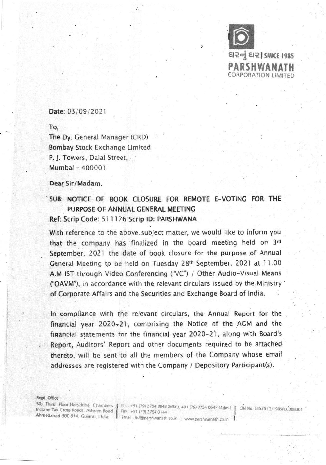

# Date: 03/09/2021

To,

The Dy. General Manager (CRD) Bombay Stock Exchange Limited P. J. Towers, Dalal Street, Mumbai - 400001

#### Dear. Sir/Madam,

# SUB: NOTICE OF BOOK CLOSURE FOR REMOTE E-VOTING FOR THE PURPOSE OF ANNUAL GENERAL MEETING Ref: Scrip Code: 511176 Scrip ID: PARSHWANA

With reference to the above. subject matter, we would like to inform you that the company has finalized in the board meeting held on 3rd September, 2021 the date of book closure for the purpose of Annual General Meeting to be held on Tuesday 28<sup>th</sup> September, 2021 at 11:00 A.M 1ST through Video Conferencing ("VC") / Other Audio-Visual Means ("OAVM"), in accordance with the relevant circulars issued by the Ministry  $\dot{}$ of Corporate Affairs and the Securities and Exchange Board of India.

In compliance with the relevant circulars, the Annual Report for the financial year 2020-21, comprising the Notice of the AGM and the financial statements for the financial year 2020-21, along with Board's Report, Auditors' Report and other documents required to be attached thereto, will be sent to all the members of the Company whose email addresses are registered with the Company / Depository Participant(s).

Regd. Office:

SO; Third Floor,Harsiddha Chambers

But Thing Pioor, Harsiddha Chambers | Ph. +91 (79) 2754 0848 (Mkt.), +91 (79) 2754 0647 (Adm.) | CIN No. L45201GJ1985PLC008361<br>Income Tax Cross Roads, Ashram Road | Fax +91 (79) 2754 0144<br>Ahmedabad-380 014, Gujarat, India. Email: Itd@parshwanath.co.in | www.parshwanath.co.in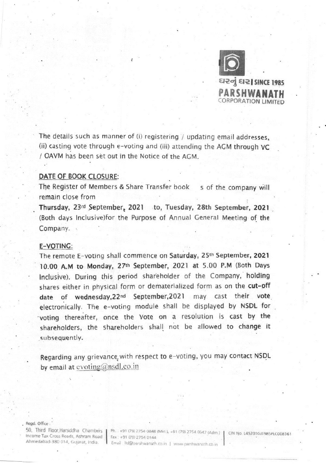

દારનું દાર| SINCE 1985 PARSHWANATH PORATION LIMITED

The details such as manner of (i) registering / updating email addresses, (ii) casting vote through e-voting and (iii) attending the AGM through VC / OAVM has been set out in the Notice of the AGM.

# DATE OF BOOK CLOSURE:

The Register of Members & Share Transfer book s of the company will remain dose from

Thursday, 23rd September, 2021 to, Tuesday, 28th September, 2021 (Both days Inclusive)for the Purpose of Annual General Meeting of the Company.

## E-VOTING:

The remote E-voting shall commence on Saturday, 25th September, 2021 10.00 A.M to Monday, 27th September, 2021 at 5.00 P.M (Both Days Inclusive). During this period shareholder of the Company, holding shares either in physical form or dematerialized form as on the cut-off date of wednesday,22nd September,2021 may cast their vote electronically. The e-voting module shall be displayed by NSDL for 'voting thereafter, once the Vote on a resolution is cast by the shareholders, the shareholders shall not be allowed to change it subsequently.

Regarding any grievance, with respect to e-voting, you may contact NSDL by email at evoting  $\hat{\omega}$ nsdl.co.in

Regd. Office:

• Income Tax Cioss Roads, Ashram Road Ahmedabad-380 014, Gularat, India.

50, Third Floor, Harsiddha Chambers | Ph. +91 (79) 2754 0848 (Mkt ), +91 (79) 2754 0647 (Adm.) | CIN No. 1452016J1985PLC008361<br>Income Tax Cross Boads, Asham Boad | Co. 23 (m. 23 (m. 23 (m. 23 ) Fax +91 (79) 2754 0144 Email Itd@parshwanath.co.in | www.parshwanath.co.